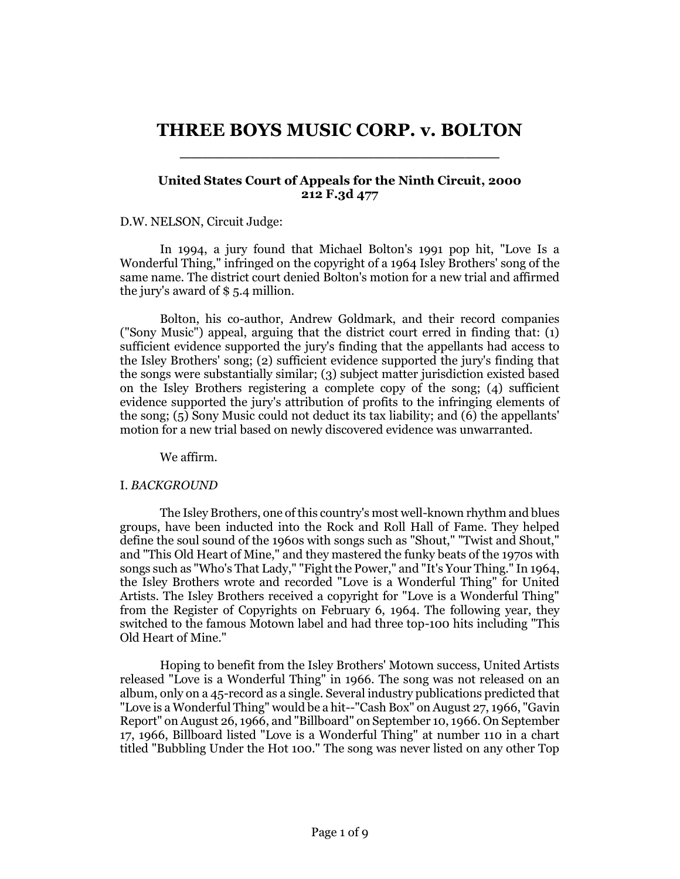# **THREE BOYS MUSIC CORP. v. BOLTON** \_\_\_\_\_\_\_\_\_\_\_\_\_\_\_\_\_\_\_\_\_\_\_\_\_\_\_\_

# **United States Court of Appeals for the Ninth Circuit, 2000 212 F.3d 477**

## D.W. NELSON, Circuit Judge:

In 1994, a jury found that Michael Bolton's 1991 pop hit, "Love Is a Wonderful Thing," infringed on the copyright of a 1964 Isley Brothers' song of the same name. The district court denied Bolton's motion for a new trial and affirmed the jury's award of \$ 5.4 million.

Bolton, his co-author, Andrew Goldmark, and their record companies ("Sony Music") appeal, arguing that the district court erred in finding that: (1) sufficient evidence supported the jury's finding that the appellants had access to the Isley Brothers' song; (2) sufficient evidence supported the jury's finding that the songs were substantially similar; (3) subject matter jurisdiction existed based on the Isley Brothers registering a complete copy of the song; (4) sufficient evidence supported the jury's attribution of profits to the infringing elements of the song; (5) Sony Music could not deduct its tax liability; and (6) the appellants' motion for a new trial based on newly discovered evidence was unwarranted.

We affirm.

## I. *BACKGROUND*

The Isley Brothers, one of this country's most well-known rhythm and blues groups, have been inducted into the Rock and Roll Hall of Fame. They helped define the soul sound of the 1960s with songs such as "Shout," "Twist and Shout," and "This Old Heart of Mine," and they mastered the funky beats of the 1970s with songs such as "Who's That Lady," "Fight the Power," and "It's Your Thing." In 1964, the Isley Brothers wrote and recorded "Love is a Wonderful Thing" for United Artists. The Isley Brothers received a copyright for "Love is a Wonderful Thing" from the Register of Copyrights on February 6, 1964. The following year, they switched to the famous Motown label and had three top-100 hits including "This Old Heart of Mine."

Hoping to benefit from the Isley Brothers' Motown success, United Artists released "Love is a Wonderful Thing" in 1966. The song was not released on an album, only on a 45-record as a single. Several industry publications predicted that "Love is a Wonderful Thing" would be a hit--"Cash Box" on August 27, 1966, "Gavin Report" on August 26, 1966, and "Billboard" on September 10, 1966. On September 17, 1966, Billboard listed "Love is a Wonderful Thing" at number 110 in a chart titled "Bubbling Under the Hot 100." The song was never listed on any other Top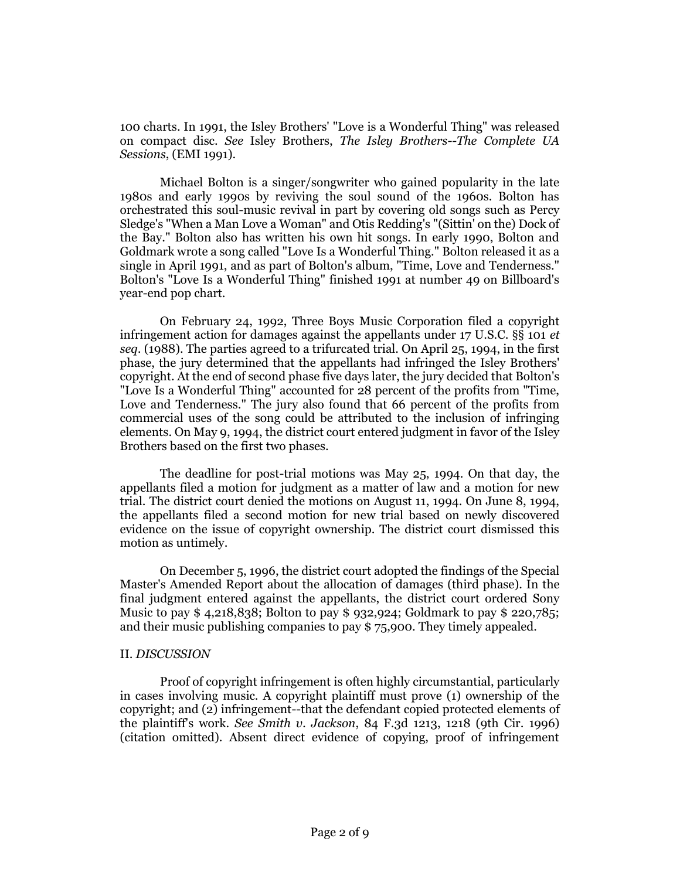100 charts. In 1991, the Isley Brothers' "Love is a Wonderful Thing" was released on compact disc. *See* Isley Brothers, *The Isley Brothers--The Complete UA Sessions*, (EMI 1991).

Michael Bolton is a singer/songwriter who gained popularity in the late 1980s and early 1990s by reviving the soul sound of the 1960s. Bolton has orchestrated this soul-music revival in part by covering old songs such as Percy Sledge's "When a Man Love a Woman" and Otis Redding's "(Sittin' on the) Dock of the Bay." Bolton also has written his own hit songs. In early 1990, Bolton and Goldmark wrote a song called "Love Is a Wonderful Thing." Bolton released it as a single in April 1991, and as part of Bolton's album, "Time, Love and Tenderness." Bolton's "Love Is a Wonderful Thing" finished 1991 at number 49 on Billboard's year-end pop chart.

On February 24, 1992, Three Boys Music Corporation filed a copyright infringement action for damages against the appellants under 17 U.S.C. §§ 101 *et seq.* (1988). The parties agreed to a trifurcated trial. On April 25, 1994, in the first phase, the jury determined that the appellants had infringed the Isley Brothers' copyright. At the end of second phase five days later, the jury decided that Bolton's "Love Is a Wonderful Thing" accounted for 28 percent of the profits from "Time, Love and Tenderness." The jury also found that 66 percent of the profits from commercial uses of the song could be attributed to the inclusion of infringing elements. On May 9, 1994, the district court entered judgment in favor of the Isley Brothers based on the first two phases.

The deadline for post-trial motions was May 25, 1994. On that day, the appellants filed a motion for judgment as a matter of law and a motion for new trial. The district court denied the motions on August 11, 1994. On June 8, 1994, the appellants filed a second motion for new trial based on newly discovered evidence on the issue of copyright ownership. The district court dismissed this motion as untimely.

On December 5, 1996, the district court adopted the findings of the Special Master's Amended Report about the allocation of damages (third phase). In the final judgment entered against the appellants, the district court ordered Sony Music to pay \$ 4,218,838; Bolton to pay \$ 932,924; Goldmark to pay \$ 220,785; and their music publishing companies to pay \$ 75,900. They timely appealed.

## II. *DISCUSSION*

Proof of copyright infringement is often highly circumstantial, particularly in cases involving music. A copyright plaintiff must prove (1) ownership of the copyright; and (2) infringement--that the defendant copied protected elements of the plaintiff's work. *See Smith v. Jackson*, 84 F.3d 1213, 1218 (9th Cir. 1996) (citation omitted). Absent direct evidence of copying, proof of infringement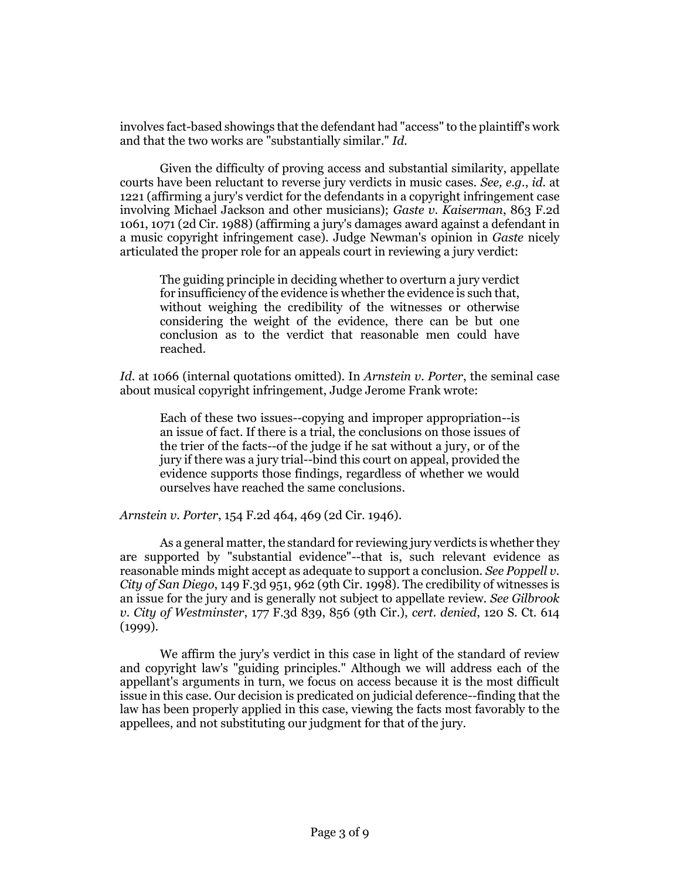involves fact-based showings that the defendant had "access" to the plaintiff's work and that the two works are "substantially similar." *Id.*

Given the difficulty of proving access and substantial similarity, appellate courts have been reluctant to reverse jury verdicts in music cases. *See, e.g.*, *id.* at 1221 (affirming a jury's verdict for the defendants in a copyright infringement case involving Michael Jackson and other musicians); *Gaste v. Kaiserman*, 863 F.2d 1061, 1071 (2d Cir. 1988) (affirming a jury's damages award against a defendant in a music copyright infringement case). Judge Newman's opinion in *Gaste* nicely articulated the proper role for an appeals court in reviewing a jury verdict:

The guiding principle in deciding whether to overturn a jury verdict for insufficiency of the evidence is whether the evidence is such that, without weighing the credibility of the witnesses or otherwise considering the weight of the evidence, there can be but one conclusion as to the verdict that reasonable men could have reached.

*Id.* at 1066 (internal quotations omitted). In *Arnstein v. Porter*, the seminal case about musical copyright infringement, Judge Jerome Frank wrote:

Each of these two issues--copying and improper appropriation--is an issue of fact. If there is a trial, the conclusions on those issues of the trier of the facts--of the judge if he sat without a jury, or of the jury if there was a jury trial--bind this court on appeal, provided the evidence supports those findings, regardless of whether we would ourselves have reached the same conclusions.

*Arnstein v. Porter*, 154 F.2d 464, 469 (2d Cir. 1946).

As a general matter, the standard for reviewing jury verdicts is whether they are supported by "substantial evidence"--that is, such relevant evidence as reasonable minds might accept as adequate to support a conclusion. *See Poppell v. City of San Diego*, 149 F.3d 951, 962 (9th Cir. 1998). The credibility of witnesses is an issue for the jury and is generally not subject to appellate review. *See Gilbrook v. City of Westminster*, 177 F.3d 839, 856 (9th Cir.), *cert. denied*, 120 S. Ct. 614 (1999).

We affirm the jury's verdict in this case in light of the standard of review and copyright law's "guiding principles." Although we will address each of the appellant's arguments in turn, we focus on access because it is the most difficult issue in this case. Our decision is predicated on judicial deference--finding that the law has been properly applied in this case, viewing the facts most favorably to the appellees, and not substituting our judgment for that of the jury.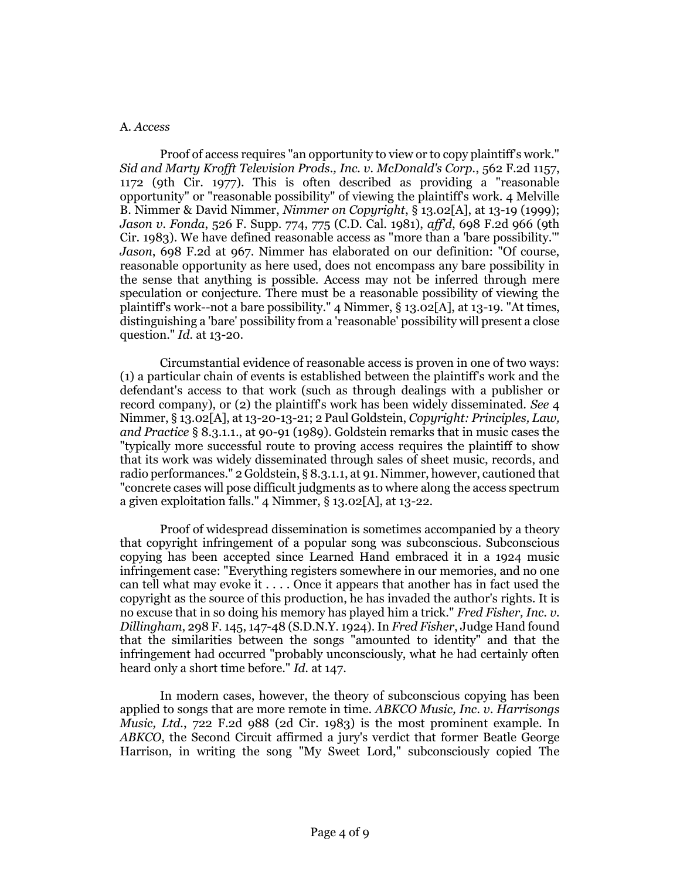#### A. *Access*

Proof of access requires "an opportunity to view or to copy plaintiff's work." *Sid and Marty Krofft Television Prods., Inc. v. McDonald's Corp.*, 562 F.2d 1157, 1172 (9th Cir. 1977). This is often described as providing a "reasonable opportunity" or "reasonable possibility" of viewing the plaintiff's work. 4 Melville B. Nimmer & David Nimmer, *Nimmer on Copyright*, § 13.02[A], at 13-19 (1999); *Jason v. Fonda*, 526 F. Supp. 774, 775 (C.D. Cal. 1981), *aff'd*, 698 F.2d 966 (9th Cir. 1983). We have defined reasonable access as "more than a 'bare possibility.'" *Jason*, 698 F.2d at 967. Nimmer has elaborated on our definition: "Of course, reasonable opportunity as here used, does not encompass any bare possibility in the sense that anything is possible. Access may not be inferred through mere speculation or conjecture. There must be a reasonable possibility of viewing the plaintiff's work--not a bare possibility." 4 Nimmer, § 13.02[A], at 13-19. "At times, distinguishing a 'bare' possibility from a 'reasonable' possibility will present a close question." *Id.* at 13-20.

Circumstantial evidence of reasonable access is proven in one of two ways: (1) a particular chain of events is established between the plaintiff's work and the defendant's access to that work (such as through dealings with a publisher or record company), or (2) the plaintiff's work has been widely disseminated. *See* 4 Nimmer, § 13.02[A], at 13-20-13-21; 2 Paul Goldstein, *Copyright: Principles, Law, and Practice* § 8.3.1.1., at 90-91 (1989). Goldstein remarks that in music cases the "typically more successful route to proving access requires the plaintiff to show that its work was widely disseminated through sales of sheet music, records, and radio performances." 2 Goldstein, § 8.3.1.1, at 91. Nimmer, however, cautioned that "concrete cases will pose difficult judgments as to where along the access spectrum a given exploitation falls." 4 Nimmer, § 13.02[A], at 13-22.

Proof of widespread dissemination is sometimes accompanied by a theory that copyright infringement of a popular song was subconscious. Subconscious copying has been accepted since Learned Hand embraced it in a 1924 music infringement case: "Everything registers somewhere in our memories, and no one can tell what may evoke it . . . . Once it appears that another has in fact used the copyright as the source of this production, he has invaded the author's rights. It is no excuse that in so doing his memory has played him a trick." *Fred Fisher, Inc. v. Dillingham*, 298 F. 145, 147-48 (S.D.N.Y. 1924). In *Fred Fisher*, Judge Hand found that the similarities between the songs "amounted to identity" and that the infringement had occurred "probably unconsciously, what he had certainly often heard only a short time before." *Id.* at 147.

In modern cases, however, the theory of subconscious copying has been applied to songs that are more remote in time. *ABKCO Music, Inc. v. Harrisongs Music, Ltd.*, 722 F.2d 988 (2d Cir. 1983) is the most prominent example. In *ABKCO*, the Second Circuit affirmed a jury's verdict that former Beatle George Harrison, in writing the song "My Sweet Lord," subconsciously copied The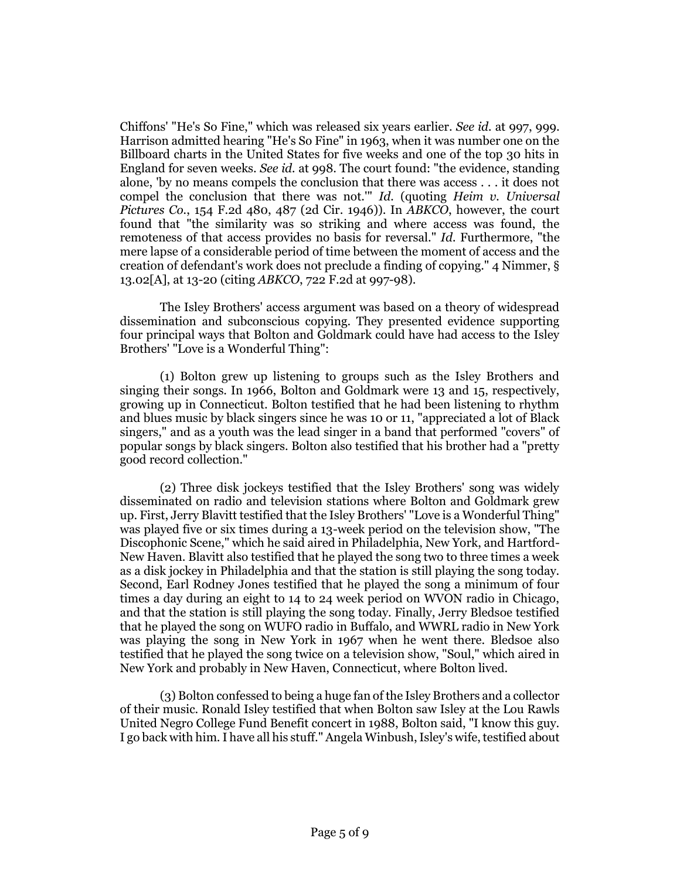Chiffons' "He's So Fine," which was released six years earlier. *See id.* at 997, 999. Harrison admitted hearing "He's So Fine" in 1963, when it was number one on the Billboard charts in the United States for five weeks and one of the top 30 hits in England for seven weeks. *See id.* at 998. The court found: "the evidence, standing alone, 'by no means compels the conclusion that there was access . . . it does not compel the conclusion that there was not.'" *Id.* (quoting *Heim v. Universal Pictures Co.*, 154 F.2d 480, 487 (2d Cir. 1946)). In *ABKCO*, however, the court found that "the similarity was so striking and where access was found, the remoteness of that access provides no basis for reversal." *Id.* Furthermore, "the mere lapse of a considerable period of time between the moment of access and the creation of defendant's work does not preclude a finding of copying." 4 Nimmer, § 13.02[A], at 13-20 (citing *ABKCO*, 722 F.2d at 997-98).

The Isley Brothers' access argument was based on a theory of widespread dissemination and subconscious copying. They presented evidence supporting four principal ways that Bolton and Goldmark could have had access to the Isley Brothers' "Love is a Wonderful Thing":

(1) Bolton grew up listening to groups such as the Isley Brothers and singing their songs. In 1966, Bolton and Goldmark were 13 and 15, respectively, growing up in Connecticut. Bolton testified that he had been listening to rhythm and blues music by black singers since he was 10 or 11, "appreciated a lot of Black singers," and as a youth was the lead singer in a band that performed "covers" of popular songs by black singers. Bolton also testified that his brother had a "pretty good record collection."

(2) Three disk jockeys testified that the Isley Brothers' song was widely disseminated on radio and television stations where Bolton and Goldmark grew up. First, Jerry Blavitt testified that the Isley Brothers' "Love is a Wonderful Thing" was played five or six times during a 13-week period on the television show, "The Discophonic Scene," which he said aired in Philadelphia, New York, and Hartford-New Haven. Blavitt also testified that he played the song two to three times a week as a disk jockey in Philadelphia and that the station is still playing the song today. Second, Earl Rodney Jones testified that he played the song a minimum of four times a day during an eight to 14 to 24 week period on WVON radio in Chicago, and that the station is still playing the song today. Finally, Jerry Bledsoe testified that he played the song on WUFO radio in Buffalo, and WWRL radio in New York was playing the song in New York in 1967 when he went there. Bledsoe also testified that he played the song twice on a television show, "Soul," which aired in New York and probably in New Haven, Connecticut, where Bolton lived.

(3) Bolton confessed to being a huge fan of the Isley Brothers and a collector of their music. Ronald Isley testified that when Bolton saw Isley at the Lou Rawls United Negro College Fund Benefit concert in 1988, Bolton said, "I know this guy. I go back with him. I have all his stuff." Angela Winbush, Isley's wife, testified about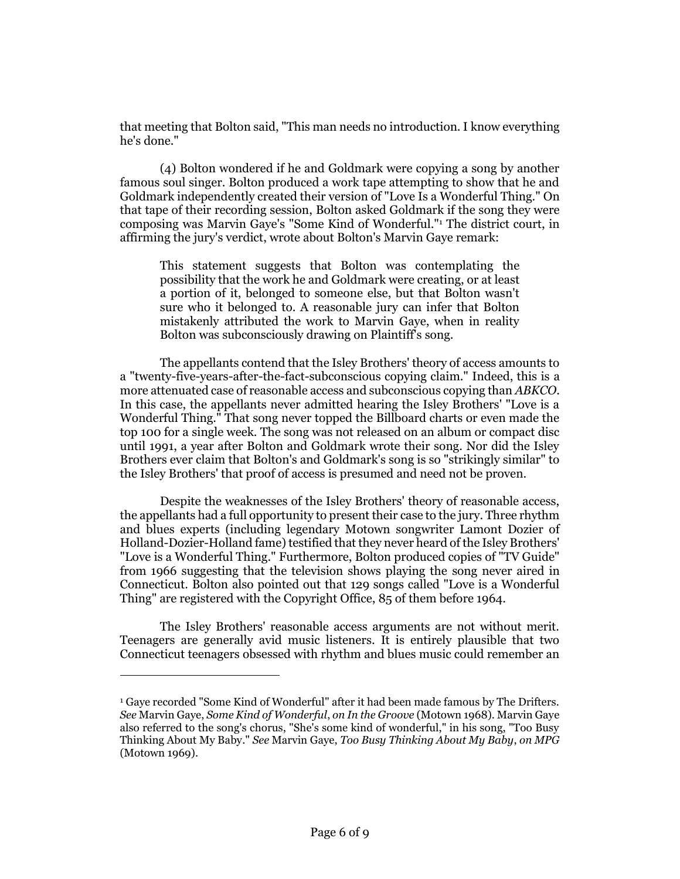that meeting that Bolton said, "This man needs no introduction. I know everything he's done."

(4) Bolton wondered if he and Goldmark were copying a song by another famous soul singer. Bolton produced a work tape attempting to show that he and Goldmark independently created their version of "Love Is a Wonderful Thing." On that tape of their recording session, Bolton asked Goldmark if the song they were composing was Marvin Gaye's "Some Kind of Wonderful."<sup>1</sup> The district court, in affirming the jury's verdict, wrote about Bolton's Marvin Gaye remark:

This statement suggests that Bolton was contemplating the possibility that the work he and Goldmark were creating, or at least a portion of it, belonged to someone else, but that Bolton wasn't sure who it belonged to. A reasonable jury can infer that Bolton mistakenly attributed the work to Marvin Gaye, when in reality Bolton was subconsciously drawing on Plaintiff's song.

The appellants contend that the Isley Brothers' theory of access amounts to a "twenty-five-years-after-the-fact-subconscious copying claim." Indeed, this is a more attenuated case of reasonable access and subconscious copying than *ABKCO*. In this case, the appellants never admitted hearing the Isley Brothers' "Love is a Wonderful Thing." That song never topped the Billboard charts or even made the top 100 for a single week. The song was not released on an album or compact disc until 1991, a year after Bolton and Goldmark wrote their song. Nor did the Isley Brothers ever claim that Bolton's and Goldmark's song is so "strikingly similar" to the Isley Brothers' that proof of access is presumed and need not be proven.

Despite the weaknesses of the Isley Brothers' theory of reasonable access, the appellants had a full opportunity to present their case to the jury. Three rhythm and blues experts (including legendary Motown songwriter Lamont Dozier of Holland-Dozier-Holland fame) testified that they never heard of the Isley Brothers' "Love is a Wonderful Thing." Furthermore, Bolton produced copies of "TV Guide" from 1966 suggesting that the television shows playing the song never aired in Connecticut. Bolton also pointed out that 129 songs called "Love is a Wonderful Thing" are registered with the Copyright Office, 85 of them before 1964.

The Isley Brothers' reasonable access arguments are not without merit. Teenagers are generally avid music listeners. It is entirely plausible that two Connecticut teenagers obsessed with rhythm and blues music could remember an

 $\overline{a}$ 

<sup>1</sup> Gaye recorded "Some Kind of Wonderful" after it had been made famous by The Drifters. *See* Marvin Gaye, *Some Kind of Wonderful*, *on In the Groove* (Motown 1968). Marvin Gaye also referred to the song's chorus, "She's some kind of wonderful," in his song, "Too Busy Thinking About My Baby." *See* Marvin Gaye, *Too Busy Thinking About My Baby*, *on MPG* (Motown 1969).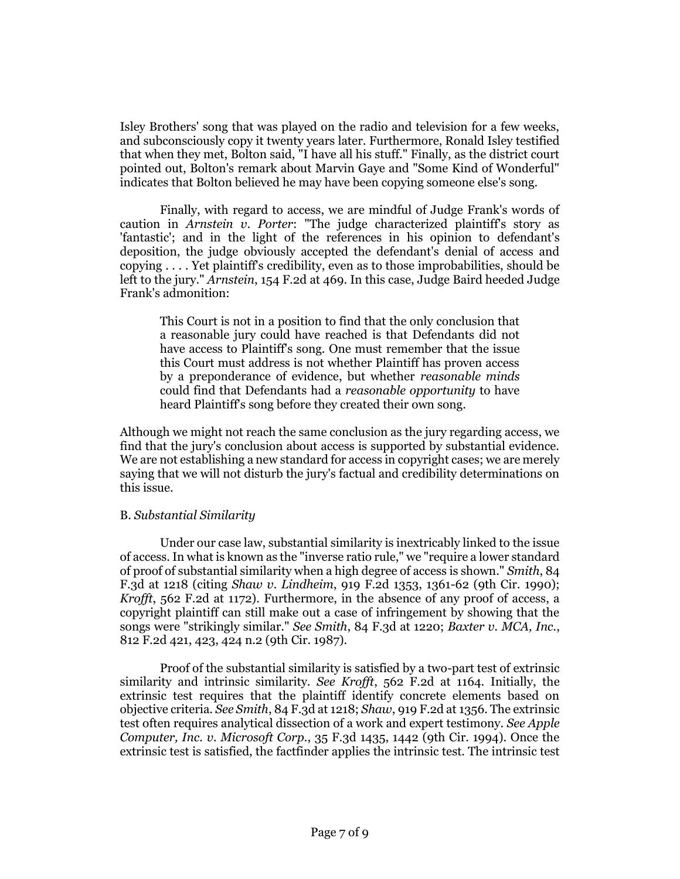Isley Brothers' song that was played on the radio and television for a few weeks, and subconsciously copy it twenty years later. Furthermore, Ronald Isley testified that when they met, Bolton said, "I have all his stuff." Finally, as the district court pointed out, Bolton's remark about Marvin Gaye and "Some Kind of Wonderful" indicates that Bolton believed he may have been copying someone else's song.

Finally, with regard to access, we are mindful of Judge Frank's words of caution in *Arnstein v. Porter*: "The judge characterized plaintiff's story as 'fantastic'; and in the light of the references in his opinion to defendant's deposition, the judge obviously accepted the defendant's denial of access and copying . . . . Yet plaintiff's credibility, even as to those improbabilities, should be left to the jury." *Arnstein*, 154 F.2d at 469. In this case, Judge Baird heeded Judge Frank's admonition:

This Court is not in a position to find that the only conclusion that a reasonable jury could have reached is that Defendants did not have access to Plaintiff's song. One must remember that the issue this Court must address is not whether Plaintiff has proven access by a preponderance of evidence, but whether *reasonable minds* could find that Defendants had a *reasonable opportunity* to have heard Plaintiff's song before they created their own song.

Although we might not reach the same conclusion as the jury regarding access, we find that the jury's conclusion about access is supported by substantial evidence. We are not establishing a new standard for access in copyright cases; we are merely saying that we will not disturb the jury's factual and credibility determinations on this issue.

## B. *Substantial Similarity*

Under our case law, substantial similarity is inextricably linked to the issue of access. In what is known as the "inverse ratio rule," we "require a lower standard of proof of substantial similarity when a high degree of access is shown." *Smith*, 84 F.3d at 1218 (citing *Shaw v. Lindheim*, 919 F.2d 1353, 1361-62 (9th Cir. 1990); *Krofft*, 562 F.2d at 1172). Furthermore, in the absence of any proof of access, a copyright plaintiff can still make out a case of infringement by showing that the songs were "strikingly similar." *See Smith*, 84 F.3d at 1220; *Baxter v. MCA, Inc.*, 812 F.2d 421, 423, 424 n.2 (9th Cir. 1987).

Proof of the substantial similarity is satisfied by a two-part test of extrinsic similarity and intrinsic similarity. *See Krofft*, 562 F.2d at 1164. Initially, the extrinsic test requires that the plaintiff identify concrete elements based on objective criteria. *See Smith*, 84 F.3d at 1218; *Shaw*, 919 F.2d at 1356. The extrinsic test often requires analytical dissection of a work and expert testimony. *See Apple Computer, Inc. v. Microsoft Corp.*, 35 F.3d 1435, 1442 (9th Cir. 1994). Once the extrinsic test is satisfied, the factfinder applies the intrinsic test. The intrinsic test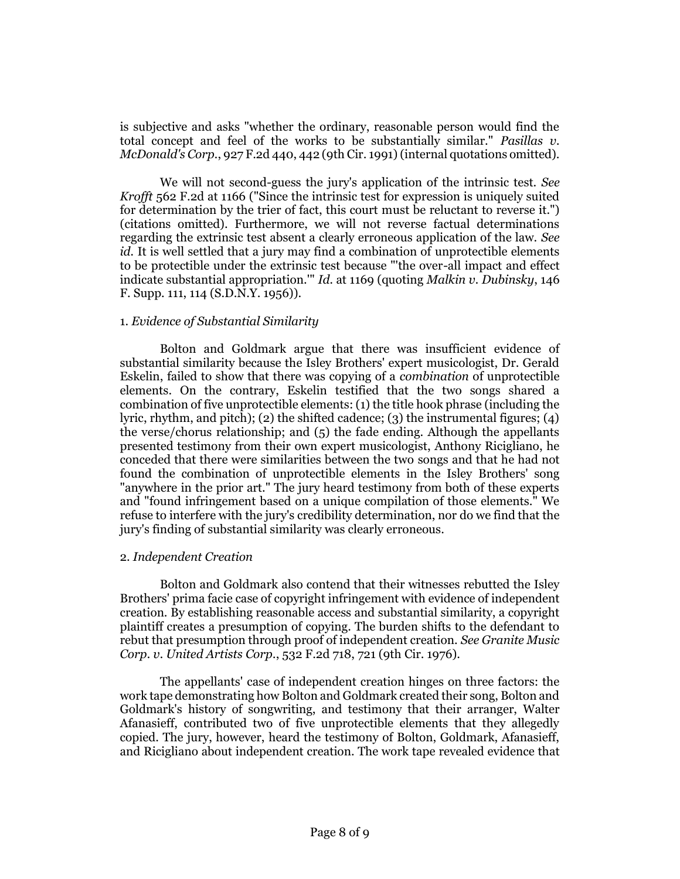is subjective and asks "whether the ordinary, reasonable person would find the total concept and feel of the works to be substantially similar." *Pasillas v. McDonald's Corp.*, 927 F.2d 440, 442 (9th Cir. 1991) (internal quotations omitted).

We will not second-guess the jury's application of the intrinsic test. *See Krofft* 562 F.2d at 1166 ("Since the intrinsic test for expression is uniquely suited for determination by the trier of fact, this court must be reluctant to reverse it.") (citations omitted). Furthermore, we will not reverse factual determinations regarding the extrinsic test absent a clearly erroneous application of the law. *See id.* It is well settled that a jury may find a combination of unprotectible elements to be protectible under the extrinsic test because "'the over-all impact and effect indicate substantial appropriation.'" *Id.* at 1169 (quoting *Malkin v. Dubinsky*, 146 F. Supp. 111, 114 (S.D.N.Y. 1956)).

## 1. *Evidence of Substantial Similarity*

Bolton and Goldmark argue that there was insufficient evidence of substantial similarity because the Isley Brothers' expert musicologist, Dr. Gerald Eskelin, failed to show that there was copying of a *combination* of unprotectible elements. On the contrary, Eskelin testified that the two songs shared a combination of five unprotectible elements: (1) the title hook phrase (including the lyric, rhythm, and pitch); (2) the shifted cadence; (3) the instrumental figures; (4) the verse/chorus relationship; and (5) the fade ending. Although the appellants presented testimony from their own expert musicologist, Anthony Ricigliano, he conceded that there were similarities between the two songs and that he had not found the combination of unprotectible elements in the Isley Brothers' song "anywhere in the prior art." The jury heard testimony from both of these experts and "found infringement based on a unique compilation of those elements." We refuse to interfere with the jury's credibility determination, nor do we find that the jury's finding of substantial similarity was clearly erroneous.

## 2. *Independent Creation*

Bolton and Goldmark also contend that their witnesses rebutted the Isley Brothers' prima facie case of copyright infringement with evidence of independent creation. By establishing reasonable access and substantial similarity, a copyright plaintiff creates a presumption of copying. The burden shifts to the defendant to rebut that presumption through proof of independent creation. *See Granite Music Corp. v. United Artists Corp.*, 532 F.2d 718, 721 (9th Cir. 1976).

The appellants' case of independent creation hinges on three factors: the work tape demonstrating how Bolton and Goldmark created their song, Bolton and Goldmark's history of songwriting, and testimony that their arranger, Walter Afanasieff, contributed two of five unprotectible elements that they allegedly copied. The jury, however, heard the testimony of Bolton, Goldmark, Afanasieff, and Ricigliano about independent creation. The work tape revealed evidence that